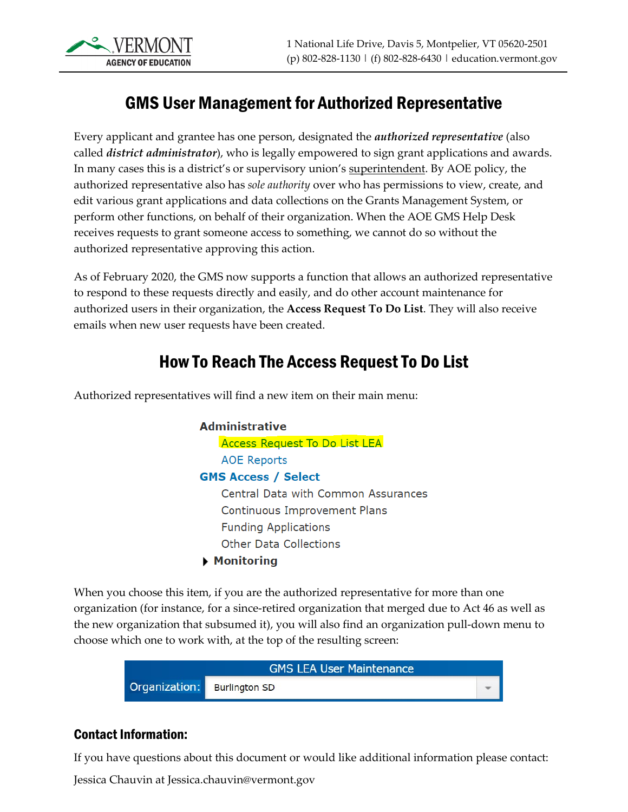

#### GMS User Management for Authorized Representative

Every applicant and grantee has one person, designated the *authorized representative* (also called *district administrator*), who is legally empowered to sign grant applications and awards. In many cases this is a district's or supervisory union's superintendent. By AOE policy, the authorized representative also has *sole authority* over who has permissions to view, create, and edit various grant applications and data collections on the Grants Management System, or perform other functions, on behalf of their organization. When the AOE GMS Help Desk receives requests to grant someone access to something, we cannot do so without the authorized representative approving this action.

As of February 2020, the GMS now supports a function that allows an authorized representative to respond to these requests directly and easily, and do other account maintenance for authorized users in their organization, the **Access Request To Do List**. They will also receive emails when new user requests have been created.

#### How To Reach The Access Request To Do List

Authorized representatives will find a new item on their main menu:

**Administrative Access Request To Do List LEA AOE Reports GMS Access / Select** Central Data with Common Assurances **Continuous Improvement Plans Funding Applications Other Data Collections**  $\blacktriangleright$  Monitoring

When you choose this item, if you are the authorized representative for more than one organization (for instance, for a since-retired organization that merged due to Act 46 as well as the new organization that subsumed it), you will also find an organization pull-down menu to choose which one to work with, at the top of the resulting screen:



#### Contact Information:

If you have questions about this document or would like additional information please contact:

Jessica Chauvin at Jessica.chauvin@vermont.gov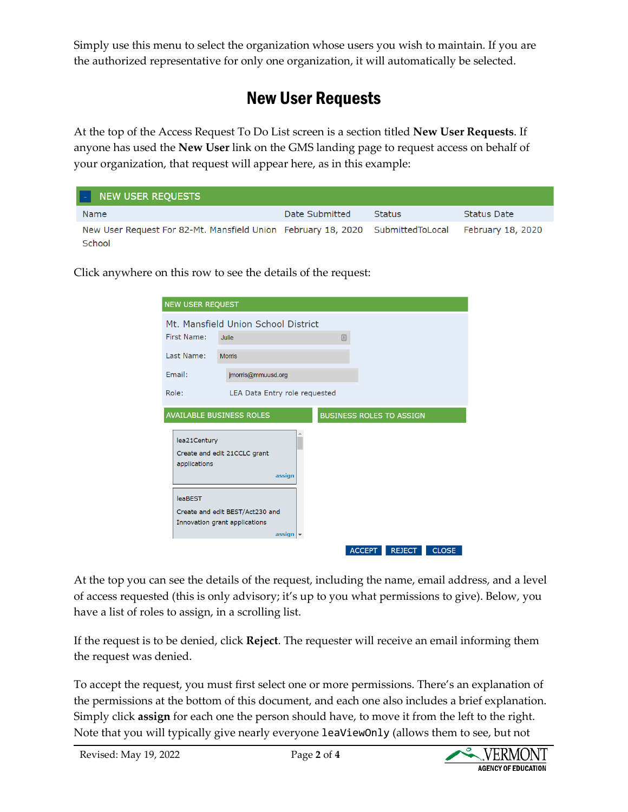Simply use this menu to select the organization whose users you wish to maintain. If you are the authorized representative for only one organization, it will automatically be selected.

### New User Requests

At the top of the Access Request To Do List screen is a section titled **New User Requests**. If anyone has used the **New User** link on the GMS landing page to request access on behalf of your organization, that request will appear here, as in this example:

| H<br>NEW USER REQUESTS                                                                     |                |               |                   |
|--------------------------------------------------------------------------------------------|----------------|---------------|-------------------|
| Name                                                                                       | Date Submitted | <b>Status</b> | Status Date       |
| New User Request For 82-Mt. Mansfield Union February 18, 2020 Submitted To Local<br>School |                |               | February 18, 2020 |

Click anywhere on this row to see the details of the request:

| <b>NEW USER REQUEST</b>      |                                                                                               |
|------------------------------|-----------------------------------------------------------------------------------------------|
|                              | Mt. Mansfield Union School District                                                           |
| First Name:                  | Julie<br>日                                                                                    |
| Last Name:                   | <b>Morris</b>                                                                                 |
| Email:                       | jmorris@mmuusd.org                                                                            |
| Role:                        | LEA Data Entry role requested                                                                 |
|                              | <b>AVAILABLE BUSINESS ROLES</b><br><b>BUSINESS ROLES TO ASSIGN</b>                            |
| lea21Century<br>applications | Create and edit 21CCLC grant<br>assign                                                        |
| <b>leaBEST</b>               | Create and edit BEST/Act230 and<br>Innovation grant applications<br>$\textsf{assign}$ $\star$ |
|                              | <b>ACCEPT</b><br><b>REJECT</b><br><b>CLOSE</b>                                                |

At the top you can see the details of the request, including the name, email address, and a level of access requested (this is only advisory; it's up to you what permissions to give). Below, you have a list of roles to assign, in a scrolling list.

If the request is to be denied, click **Reject**. The requester will receive an email informing them the request was denied.

To accept the request, you must first select one or more permissions. There's an explanation of the permissions at the bottom of this document, and each one also includes a brief explanation. Simply click **assign** for each one the person should have, to move it from the left to the right. Note that you will typically give nearly everyone leaViewOnly (allows them to see, but not

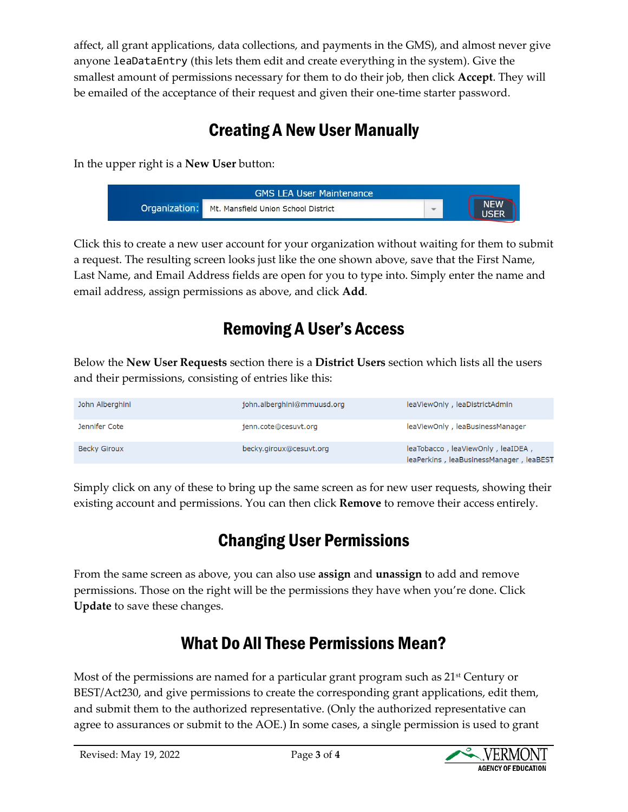affect, all grant applications, data collections, and payments in the GMS), and almost never give anyone leaDataEntry (this lets them edit and create everything in the system). Give the smallest amount of permissions necessary for them to do their job, then click **Accept**. They will be emailed of the acceptance of their request and given their one-time starter password.

## Creating A New User Manually

In the upper right is a **New User** button:



Click this to create a new user account for your organization without waiting for them to submit a request. The resulting screen looks just like the one shown above, save that the First Name, Last Name, and Email Address fields are open for you to type into. Simply enter the name and email address, assign permissions as above, and click **Add**.

### Removing A User's Access

Below the **New User Requests** section there is a **District Users** section which lists all the users and their permissions, consisting of entries like this:

| John Alberghini     | john.alberghini@mmuusd.org | leaViewOnly, leaDistrictAdmin                                                |
|---------------------|----------------------------|------------------------------------------------------------------------------|
| Jennifer Cote       | jenn.cote@cesuvt.org       | leaViewOnly, leaBusinessManager                                              |
| <b>Becky Giroux</b> | becky.giroux@cesuvt.org    | leaTobacco, leaViewOnly, leaIDEA,<br>leaPerkins, leaBusinessManager, leaBEST |

Simply click on any of these to bring up the same screen as for new user requests, showing their existing account and permissions. You can then click **Remove** to remove their access entirely.

## Changing User Permissions

From the same screen as above, you can also use **assign** and **unassign** to add and remove permissions. Those on the right will be the permissions they have when you're done. Click **Update** to save these changes.

#### What Do All These Permissions Mean?

Most of the permissions are named for a particular grant program such as  $21<sup>st</sup>$  Century or BEST/Act230, and give permissions to create the corresponding grant applications, edit them, and submit them to the authorized representative. (Only the authorized representative can agree to assurances or submit to the AOE.) In some cases, a single permission is used to grant